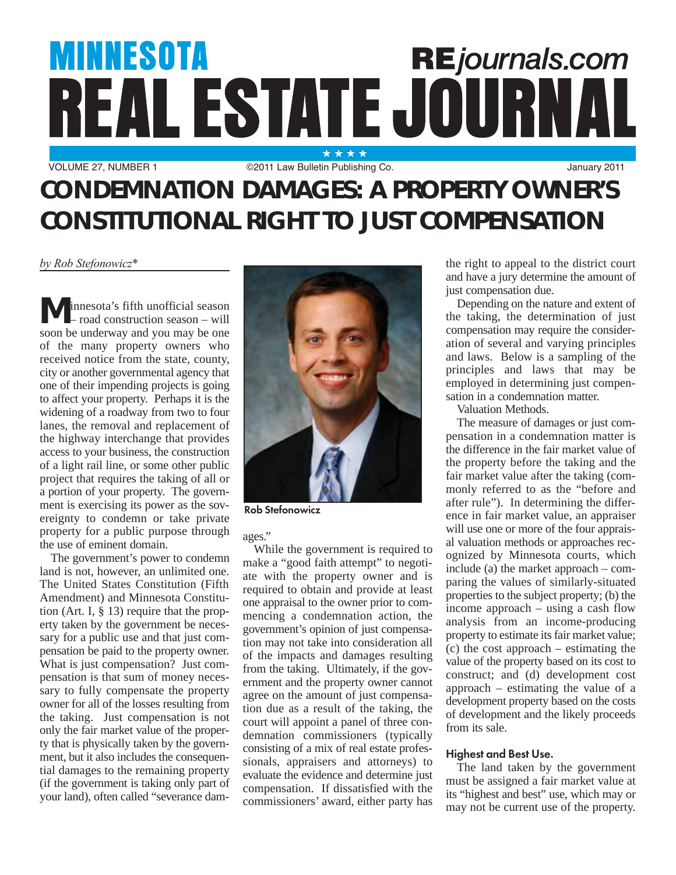# **MINNESOTA REjournals.com** REAL ESTATE JOURNAL

VOLUME 27, NUMBER 1 **C2011 Law Bulletin Publishing Co.** January 2011

# **CONDEMNATION DAMAGES: A PROPERTY OWNER'S CONSTITUTIONAL RIGHT TO JUST COMPENSATION**

*by Rob Stefonowicz\**

**M** innesota's fifth unofficial season<br>
– road construction season – will soon be underway and you may be one of the many property owners who received notice from the state, county, city or another governmental agency that one of their impending projects is going to affect your property. Perhaps it is the widening of a roadway from two to four lanes, the removal and replacement of the highway interchange that provides access to your business, the construction of a light rail line, or some other public project that requires the taking of all or a portion of your property. The government is exercising its power as the sovereignty to condemn or take private property for a public purpose through the use of eminent domain.

The government's power to condemn land is not, however, an unlimited one. The United States Constitution (Fifth Amendment) and Minnesota Constitution (Art. I, § 13) require that the property taken by the government be necessary for a public use and that just compensation be paid to the property owner. What is just compensation? Just compensation is that sum of money necessary to fully compensate the property owner for all of the losses resulting from the taking. Just compensation is not only the fair market value of the property that is physically taken by the government, but it also includes the consequential damages to the remaining property (if the government is taking only part of your land), often called "severance dam-



Rob Stefonowicz

ages."

While the government is required to make a "good faith attempt" to negotiate with the property owner and is required to obtain and provide at least one appraisal to the owner prior to commencing a condemnation action, the government's opinion of just compensation may not take into consideration all of the impacts and damages resulting from the taking. Ultimately, if the government and the property owner cannot agree on the amount of just compensation due as a result of the taking, the court will appoint a panel of three condemnation commissioners (typically consisting of a mix of real estate professionals, appraisers and attorneys) to evaluate the evidence and determine just compensation. If dissatisfied with the commissioners' award, either party has the right to appeal to the district court and have a jury determine the amount of just compensation due.

Depending on the nature and extent of the taking, the determination of just compensation may require the consideration of several and varying principles and laws. Below is a sampling of the principles and laws that may be employed in determining just compensation in a condemnation matter.

Valuation Methods.

The measure of damages or just compensation in a condemnation matter is the difference in the fair market value of the property before the taking and the fair market value after the taking (commonly referred to as the "before and after rule"). In determining the difference in fair market value, an appraiser will use one or more of the four appraisal valuation methods or approaches recognized by Minnesota courts, which include (a) the market approach – comparing the values of similarly-situated properties to the subject property; (b) the income approach – using a cash flow analysis from an income-producing property to estimate its fair market value; (c) the cost approach – estimating the value of the property based on its cost to construct; and (d) development cost approach – estimating the value of a development property based on the costs of development and the likely proceeds from its sale.

## Highest and Best Use.

The land taken by the government must be assigned a fair market value at its "highest and best" use, which may or may not be current use of the property.